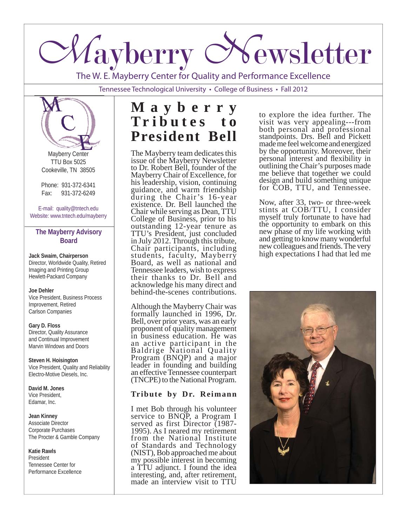

The W. E. Mayberry Center for Quality and Performance Excellence

Tennessee Technological University • College of Business • Fall 2012



Mayberry Center TTU Box 5025 Cookeville, TN 38505

Phone: 931-372-6341 Fax: 931-372-6249

E-mail: quality@tntech.edu Website: www.tntech.edu/mayberry

#### **The Mayberry Advisory Board**

**Jack Swaim, Chairperson** Director, Worldwide Quality, Retired Imaging and Printing Group Hewlett-Packard Company

#### **Joe Dehler**

Vice President, Business Process Improvement, Retired Carlson Companies

## **Gary D. Floss**

Director, Quality Assurance and Continual Improvement Marvin Windows and Doors

#### **Steven H. Hoisington** Vice President, Quality and Reliability Electro-Motive Diesels, Inc.

**David M. Jones** Vice President, Edamar, Inc.

#### **Jean Kinney**

Associate Director Corporate Purchases The Procter & Gamble Company

#### **Katie Rawls**

President Tennessee Center for Performance Excellence

# **M a y b e r r y T r i b u t e s t o President Bell**

The Mayberry team dedicates this issue of the Mayberry Newsletter to Dr. Robert Bell, founder of the Mayberry Chair of Excellence, for his leadership, vision, continuing guidance, and warm friendship during the Chair's 16-year existence. Dr. Bell launched the Chair while serving as Dean, TTU College of Business, prior to his outstanding 12-year tenure as TTU's President, just concluded in July 2012. Through this tribute, Chair participants, including students, faculty, Mayberry Board, as well as national and Tennessee leaders, wish to express their thanks to Dr. Bell and acknowledge his many direct and behind-the-scenes contributions.

Although the Mayberry Chair was formally launched in 1996, Dr. Bell, over prior years, was an early proponent of quality management in business education. He was an active participant in the Baldrige National Quality Program (BNQP) and a major leader in founding and building an effective Tennessee counterpart (TNCPE) to the National Program.

## **Tribute by Dr. Reimann**

I met Bob through his volunteer service to BNQP, a Program I served as first Director (1987- 1995). As I neared my retirement from the National Institute of Standards and Technology (NIST), Bob approached me about my possible interest in becoming a TTU adjunct. I found the idea interesting, and, after retirement, made an interview visit to TTU

to explore the idea further. The visit was very appealing---from both personal and professional standpoints. Drs. Bell and Pickett made me feel welcome and energized by the opportunity. Moreover, their personal interest and flexibility in outlining the Chair's purposes made me believe that together we could design and build something unique for COB, TTU, and Tennessee.

Now, after 33, two- or three-week stints at COB/TTU, I consider myself truly fortunate to have had the opportunity to embark on this new phase of my life working with and getting to know many wonderful new colleagues and friends. The very high expectations I had that led me

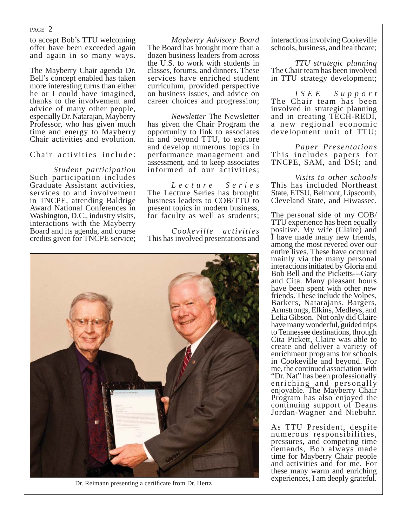to accept Bob's TTU welcoming offer have been exceeded again and again in so many ways.

The Mayberry Chair agenda Dr. Bell's concept enabled has taken more interesting turns than either he or I could have imagined, thanks to the involvement and advice of many other people, especially Dr. Natarajan, Mayberry Professor, who has given much time and energy to Mayberry Chair activities and evolution.

Chair activities include:

 *Student participation* Such participation includes Graduate Assistant activities, services to and involvement in TNCPE, attending Baldrige Award National Conferences in Washington, D.C., industry visits, interactions with the Mayberry Board and its agenda, and course credits given for TNCPE service;

*Mayberry Advisory Board*  The Board has brought more than a dozen business leaders from across the U.S. to work with students in classes, forums, and dinners. These services have enriched student curriculum, provided perspective on business issues, and advice on career choices and progression;

 *Newsletter* The Newsletter has given the Chair Program the opportunity to link to associates in and beyond TTU, to explore and develop numerous topics in performance management and assessment, and to keep associates informed of our activities;

 *L e c t u r e S e r i e s* The Lecture Series has brought business leaders to COB/TTU to present topics in modern business, for faculty as well as students;

 *Cookeville activities* This has involved presentations and



Dr. Reimann presenting a certificate from Dr. Hertz

interactions involving Cookeville schools, business, and healthcare;

 *TTU strategic planning* The Chair team has been involved in TTU strategy development;

 *I S E E S u p p o r t*  The Chair team has been involved in strategic planning and in creating TECH-REDI, a new regional economic development unit of TTU;

 *Paper Presentations* This includes papers for TNCPE, SAM, and DSI; and

 *Visits to other schools* This has included Northeast State, ETSU, Belmont, Lipscomb, Cleveland State, and Hiwassee.

The personal side of my COB/ TTU experience has been equally positive. My wife (Claire) and I have made many new friends, among the most revered over our entire lives. These have occurred mainly via the many personal interactions initiated by Gloria and Bob Bell and the Picketts---Gary and Cita. Many pleasant hours have been spent with other new friends. These include the Volpes, Barkers, Natarajans, Bargers, Armstrongs, Elkins, Medleys, and Lelia Gibson. Not only did Claire have many wonderful, guided trips to Tennessee destinations, through Cita Pickett, Claire was able to create and deliver a variety of enrichment programs for schools in Cookeville and beyond. For me, the continued association with "Dr. Nat" has been professionally enriching and personally enjoyable. The Mayberry Chair Program has also enjoyed the continuing support of Deans Jordan-Wagner and Niebuhr.

As TTU President, despite numerous responsibilities, pressures, and competing time demands, Bob always made time for Mayberry Chair people and activities and for me. For these many warm and enriching experiences, I am deeply grateful.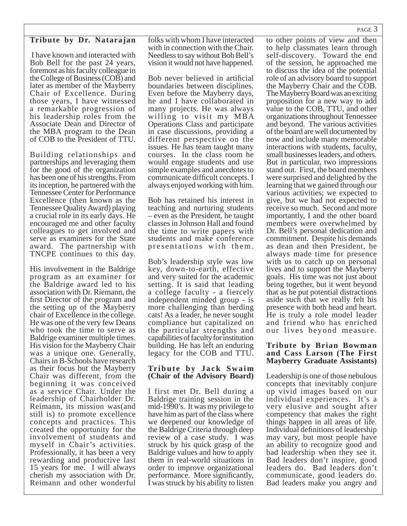#### **Tribute by Dr. Natarajan**

 I have known and interacted with Bob Bell for the past 24 years, foremost as his faculty colleague in the College of Business (COB) and later as member of the Mayberry Chair of Excellence. During those years, I have witnessed a remarkable progression of his leadership roles from the Associate Dean and Director of the MBA program to the Dean of COB to the President of TTU.

Building relationships and partnerships and leveraging them for the good of the organization has been one of his strengths. From its inception, he partnered with the Tennessee Center for Performance Excellence (then known as the Tennessee Quality Award) playing a crucial role in its early days. He encouraged me and other faculty colleagues to get involved and serve as examiners for the State award. The partnership with TNCPE continues to this day.

His involvement in the Baldrige program as an examiner for the Baldrige award led to his association with Dr. Riemann, the first Director of the program and the setting up of the Mayberry chair of Excellence in the college. He was one of the very few Deans who took the time to serve as Baldrige examiner multiple times. His vision for the Mayberry Chair was a unique one. Generally, Chairs in B-Schools have research as their focus but the Mayberry Chair was different, from the beginning it was conceived as a service Chair. Under the leadership of Chairholder Dr. Reimann, its mission was(and still is) to promote excellence concepts and practices. This created the opportunity for the involvement of students and myself in Chair's activities. Professionally, it has been a very rewarding and productive last 15 years for me. I will always cherish my association with Dr. Reimann and other wonderful

folks with whom I have interacted with in connection with the Chair. Needless to say without Bob Bell's vision it would not have happened.

Bob never believed in artificial boundaries between disciplines. Even before the Mayberry days, he and I have collaborated in many projects. He was always willing to visit my MBA Operations Class and participate in case discussions, providing a different perspective on the issues. He has team taught many courses. In the class room he would engage students and use simple examples and anecdotes to communicate difficult concepts. I always enjoyed working with him.

Bob has retained his interest in teaching and nurturing students – even as the President, he taught classes in Johnson Hall and found the time to write papers with students and make conference presentations with them.

Bob's leadership style was low key, down-to-earth, effective and very suited for the academic setting. It is said that leading a college faculty - a fiercely independent minded group - is more challenging than herding cats! As a leader, he never sought compliance but capitalized on the particular strengths and capabilities of faculty for institution building. He has left an enduring legacy for the COB and TTU.

#### **Tribute by Jack Swaim (Chair of the Advisory Board)**

I first met Dr. Bell during a Baldrige training session in the mid-1990's. It was my privilege to have him as part of the class where we deepened our knowledge of the Baldrige Criteria through deep review of a case study. I was struck by his quick grasp of the Baldrige values and how to apply them in real-world situations in order to improve organizational performance. More significantly, I was struck by his ability to listen

to other points of view and then to help classmates learn through self-discovery. Toward the end of the session, he approached me to discuss the idea of the potential role of an advisory board to support the Mayberry Chair and the COB. The Mayberry Board was an exciting proposition for a new way to add value to the COB, TTU, and other organizations throughout Tennessee and beyond. The various activities of the board are well documented by now and include many memorable interactions with students, faculty, small businesses leaders, and others. But in particular, two impressions stand out. First, the board members were surprised and delighted by the learning that we gained through our various activities; we expected to give, but we had not expected to receive so much. Second and more importantly, I and the other board members were overwhelmed by Dr. Bell's personal dedication and commitment. Despite his demands as dean and then President, he always made time for presence with us to catch up on personal lives and to support the Mayberry goals. His time was not just about being together, but it went beyond that as he put potential distractions aside such that we really felt his presence with both head and heart. He is truly a role model leader and friend who has enriched our lives beyond measure.

#### **Tribute by Brian Bowman and Cass Larson (The First Mayberry Graduate Assistants)**

Leadership is one of those nebulous concepts that inevitably conjure up vivid images based on our individual experiences. It's a very elusive and sought after competency that makes the right things happen in all areas of life. Individual definitions of leadership may vary, but most people have an ability to recognize good and bad leadership when they see it. Bad leaders don't inspire, good leaders do. Bad leaders don't communicate, good leaders do. Bad leaders make you angry and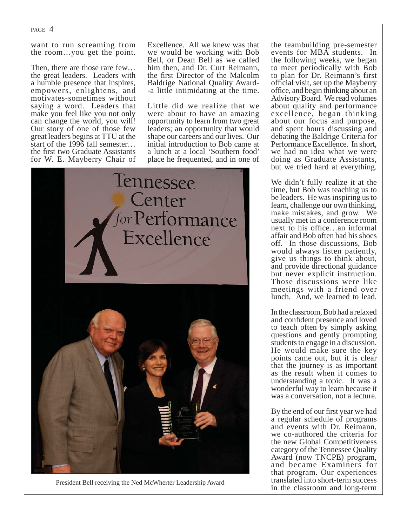want to run screaming from the room…you get the point.

Then, there are those rare few… the great leaders. Leaders with a humble presence that inspires, empowers, enlightens, and motivates-sometimes without saying a word. Leaders that make you feel like you not only can change the world, you will! Our story of one of those few great leaders begins at TTU at the start of the 1996 fall semester… the first two Graduate Assistants for W. E. Mayberry Chair of Excellence. All we knew was that we would be working with Bob Bell, or Dean Bell as we called him then, and Dr. Curt Reimann, the first Director of the Malcolm Baldrige National Quality Award- -a little intimidating at the time.

Little did we realize that we were about to have an amazing opportunity to learn from two great leaders; an opportunity that would shape our careers and our lives. Our initial introduction to Bob came at a lunch at a local 'Southern food' place he frequented, and in one of



the teambuilding pre-semester events for MBA students. In the following weeks, we began to meet periodically with Bob to plan for Dr. Reimann's first official visit, set up the Mayberry office, and begin thinking about an Advisory Board. We read volumes about quality and performance excellence, began thinking about our focus and purpose, and spent hours discussing and debating the Baldrige Criteria for Performance Excellence. In short, we had no idea what we were doing as Graduate Assistants, but we tried hard at everything.

We didn't fully realize it at the time, but Bob was teaching us to be leaders. He was inspiring us to learn, challenge our own thinking, make mistakes, and grow. We usually met in a conference room next to his office...an informal affair and Bob often had his shoes off. In those discussions, Bob would always listen patiently, give us things to think about, and provide directional guidance but never explicit instruction. Those discussions were like meetings with a friend over lunch. And, we learned to lead.

In the classroom, Bob had a relaxed and confident presence and loved to teach often by simply asking questions and gently prompting students to engage in a discussion. He would make sure the key points came out, but it is clear that the journey is as important as the result when it comes to understanding a topic. It was a wonderful way to learn because it was a conversation, not a lecture.

By the end of our first year we had a regular schedule of programs and events with Dr. Reimann, we co-authored the criteria for the new Global Competitiveness category of the Tennessee Quality Award (now TNCPE) program, and became Examiners for that program. Our experiences translated into short-term success President Bell receiving the Ned McWherter Leadership Award<br>in the classroom and long-term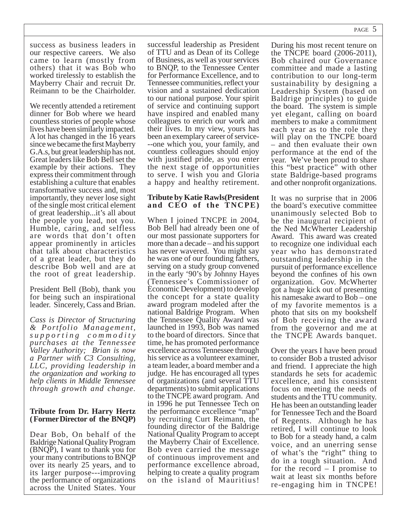success as business leaders in our respective careers. We also came to learn (mostly from others) that it was Bob who worked tirelessly to establish the Mayberry Chair and recruit Dr. Reimann to be the Chairholder.

We recently attended a retirement dinner for Bob where we heard countless stories of people whose lives have been similarly impacted. A lot has changed in the 16 years since we became the first Mayberry G.A.s, but great leadership has not. Great leaders like Bob Bell set the example by their actions. They express their commitment through establishing a culture that enables transformative success and, most importantly, they never lose sight of the single most critical element of great leadership...it's all about the people you lead, not you. Humble, caring, and selfless are words that don't often appear prominently in articles that talk about characteristics of a great leader, but they do describe Bob well and are at the root of great leadership.

President Bell (Bob), thank you for being such an inspirational leader. Sincerely, Cass and Brian.

*Cass is Director of Structuring & Portfolio Management, s u p p o r t i n g c o m m o d i t y purchases at the Tennessee Valley Authority; Brian is now a Partner with C3 Consulting, LLC, providing leadership in the organization and working to help clients in Middle Tennessee through growth and change.* 

#### **Tribute from Dr. Harry Hertz ( Former Director of the BNQP)**

Dear Bob, On behalf of the Baldrige National Quality Program (BNQP), I want to thank you for your many contributions to BNQP over its nearly 25 years, and to its larger purpose---improving the performance of organizations across the United States. Your

successful leadership as President of TTU and as Dean of its College of Business, as well as your services to BNQP, to the Tennessee Center for Performance Excellence, and to Tennessee communities, reflect your vision and a sustained dedication to our national purpose. Your spirit of service and continuing support have inspired and enabled many colleagues to enrich our work and their lives. In my view, yours has been an exemplary career of service- --one which you, your family, and countless colleagues should enjoy with justified pride, as you enter the next stage of opportunities to serve. I wish you and Gloria a happy and healthy retirement.

#### **Tribute by Katie Rawls(President and CEO of the TNCPE)**

When I joined TNCPE in 2004, Bob Bell had already been one of our most passionate supporters for more than a decade – and his support has never wavered. You might say he was one of our founding fathers, serving on a study group convened in the early '90's by Johnny Hayes (Tennessee's Commissioner of Economic Development) to develop the concept for a state quality award program modeled after the national Baldrige Program. When the Tennessee Quality Award was launched in 1993, Bob was named to the board of directors. Since that time, he has promoted performance excellence across Tennessee through his service as a volunteer examiner, a team leader, a board member and a judge. He has encouraged all types of organizations (and several TTU departments) to submit applications to the TNCPE award program. And in 1996 he put Tennessee Tech on the performance excellence "map" by recruiting Curt Reimann, the founding director of the Baldrige National Quality Program to accept the Mayberry Chair of Excellence. Bob even carried the message of continuous improvement and performance excellence abroad, helping to create a quality program on the island of Mauritius!

During his most recent tenure on the TNCPE board (2006-2011), Bob chaired our Governance committee and made a lasting contribution to our long-term sustainability by designing a Leadership System (based on Baldrige principles) to guide the board. The system is simple yet elegant, calling on board members to make a commitment each year as to the role they will play on the TNCPE board – and then evaluate their own performance at the end of the year. We've been proud to share this "best practice" with other state Baldrige-based programs and other nonprofit organizations.

It was no surprise that in 2006 the board's executive committee unanimously selected Bob to be the inaugural recipient of the Ned McWherter Leadership Award. This award was created to recognize one individual each year who has demonstrated outstanding leadership in the pursuit of performance excellence beyond the confines of his own organization. Gov. McWherter got a huge kick out of presenting his namesake award to Bob – one of my favorite mementos is a photo that sits on my bookshelf of Bob receiving the award from the governor and me at the TNCPE Awards banquet.

Over the years I have been proud to consider Bob a trusted advisor and friend. I appreciate the high standards he sets for academic excellence, and his consistent focus on meeting the needs of students and the TTU community. He has been an outstanding leader for Tennessee Tech and the Board of Regents. Although he has retired, I will continue to look to Bob for a steady hand, a calm voice, and an unerring sense of what's the "right" thing to do in a tough situation. And for the record – I promise to wait at least six months before re-engaging him in TNCPE!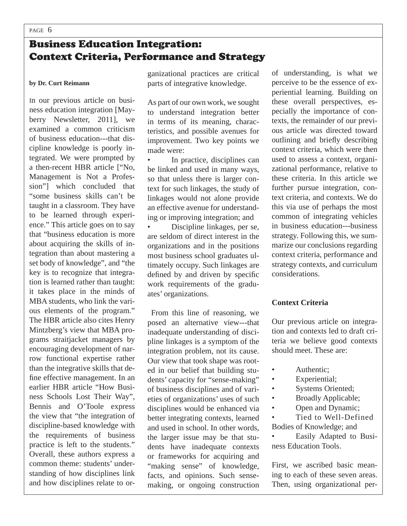## Business Education Integration: Context Criteria, Performance and Strategy

#### **by Dr. Curt Reimann**

In our previous article on business education integration [Mayberry Newsletter, 2011], we examined a common criticism of business education---that discipline knowledge is poorly integrated. We were prompted by a then-recent HBR article ["No, Management is Not a Profession"] which concluded that "some business skills can't be taught in a classroom. They have to be learned through experience." This article goes on to say that "business education is more about acquiring the skills of integration than about mastering a set body of knowledge", and "the key is to recognize that integration is learned rather than taught: it takes place in the minds of MBA students, who link the various elements of the program." The HBR article also cites Henry Mintzberg's view that MBA programs straitjacket managers by encouraging development of narrow functional expertise rather than the integrative skills that define effective management. In an earlier HBR article "How Business Schools Lost Their Way", Bennis and O'Toole express the view that "the integration of discipline-based knowledge with the requirements of business practice is left to the students." Overall, these authors express a common theme: students' understanding of how disciplines link and how disciplines relate to or-

ganizational practices are critical parts of integrative knowledge.

As part of our own work, we sought to understand integration better in terms of its meaning, characteristics, and possible avenues for improvement. Two key points we made were:

In practice, disciplines can be linked and used in many ways, so that unless there is larger context for such linkages, the study of linkages would not alone provide an effective avenue for understanding or improving integration; and

• Discipline linkages, per se, are seldom of direct interest in the organizations and in the positions most business school graduates ultimately occupy. Such linkages are defined by and driven by specific work requirements of the graduates' organizations.

 From this line of reasoning, we posed an alternative view---that inadequate understanding of discipline linkages is a symptom of the integration problem, not its cause. Our view that took shape was rooted in our belief that building students' capacity for "sense-making" of business disciplines and of varieties of organizations' uses of such disciplines would be enhanced via better integrating contexts, learned and used in school. In other words, the larger issue may be that students have inadequate contexts or frameworks for acquiring and "making sense" of knowledge, facts, and opinions. Such sensemaking, or ongoing construction

of understanding, is what we perceive to be the essence of experiential learning. Building on these overall perspectives, especially the importance of contexts, the remainder of our previous article was directed toward outlining and briefly describing context criteria, which were then used to assess a context, organizational performance, relative to these criteria. In this article we further pursue integration, context criteria, and contexts. We do this via use of perhaps the most common of integrating vehicles in business education---business strategy. Following this, we summarize our conclusions regarding context criteria, performance and strategy contexts, and curriculum considerations.

## **Context Criteria**

Our previous article on integration and contexts led to draft criteria we believe good contexts should meet. These are:

- **Authentic:**
- Experiential;
- Systems Oriented;
- Broadly Applicable;
- Open and Dynamic;

Tied to Well-Defined

Bodies of Knowledge; and • Easily Adapted to Busi-

ness Education Tools.

First, we ascribed basic meaning to each of these seven areas. Then, using organizational per-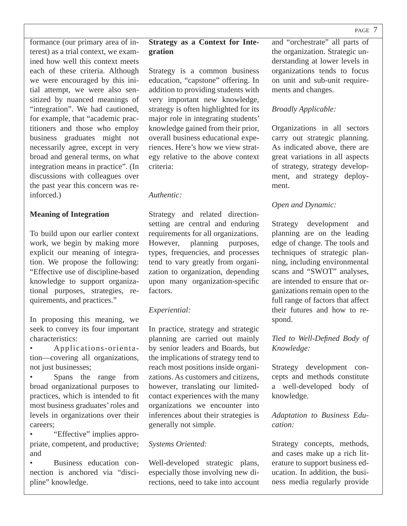formance (our primary area of interest) as a trial context, we examined how well this context meets each of these criteria. Although we were encouraged by this initial attempt, we were also sensitized by nuanced meanings of "integration". We had cautioned, for example, that "academic practitioners and those who employ business graduates might not necessarily agree, except in very broad and general terms, on what integration means in practice". (In discussions with colleagues over the past year this concern was reinforced.)

## **Meaning of Integration**

To build upon our earlier context work, we begin by making more explicit our meaning of integration. We propose the following: "Effective use of discipline-based knowledge to support organizational purposes, strategies, requirements, and practices."

In proposing this meaning, we seek to convey its four important characteristics:

• Applications-orientation—covering all organizations, not just businesses;

• Spans the range from broad organizational purposes to practices, which is intended to fit most business graduates' roles and levels in organizations over their careers;

• "Effective" implies appropriate, competent, and productive; and

• Business education connection is anchored via "discipline" knowledge.

## **Strategy as a Context for Integration**

Strategy is a common business education, "capstone" offering. In addition to providing students with very important new knowledge, strategy is often highlighted for its major role in integrating students' knowledge gained from their prior, overall business educational experiences. Here's how we view strategy relative to the above context criteria:

#### *Authentic:*

Strategy and related directionsetting are central and enduring requirements for all organizations. However, planning purposes, types, frequencies, and processes tend to vary greatly from organization to organization, depending upon many organization-specific factors.

## *Experiential:*

In practice, strategy and strategic planning are carried out mainly by senior leaders and Boards, but the implications of strategy tend to reach most positions inside organizations. As customers and citizens, however, translating our limitedcontact experiences with the many organizations we encounter into inferences about their strategies is generally not simple.

## *Systems Oriented:*

Well-developed strategic plans, especially those involving new directions, need to take into account and "orchestrate" all parts of the organization. Strategic understanding at lower levels in organizations tends to focus on unit and sub-unit requirements and changes.

## *Broadly Applicable:*

Organizations in all sectors carry out strategic planning. As indicated above, there are great variations in all aspects of strategy, strategy development, and strategy deployment.

## *Open and Dynamic:*

Strategy development and planning are on the leading edge of change. The tools and techniques of strategic planning, including environmental scans and "SWOT" analyses, are intended to ensure that organizations remain open to the full range of factors that affect their futures and how to respond.

## **Tied to Well-Defined Body of** *Knowledge:*

Strategy development concepts and methods constitute a well-developed body of knowledge.

## *Adaptation to Business Education:*

Strategy concepts, methods, and cases make up a rich literature to support business education. In addition, the business media regularly provide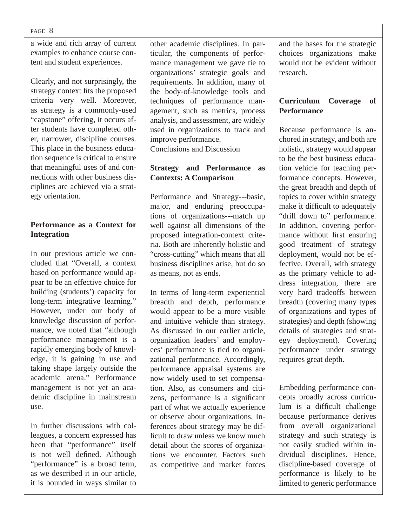a wide and rich array of current examples to enhance course content and student experiences.

Clearly, and not surprisingly, the strategy context fits the proposed criteria very well. Moreover, as strategy is a commonly-used "capstone" offering, it occurs after students have completed other, narrower, discipline courses. This place in the business education sequence is critical to ensure that meaningful uses of and connections with other business disciplines are achieved via a strategy orientation.

## **Performance as a Context for Integration**

In our previous article we concluded that "Overall, a context based on performance would appear to be an effective choice for building (students') capacity for long-term integrative learning." However, under our body of knowledge discussion of performance, we noted that "although performance management is a rapidly emerging body of knowledge, it is gaining in use and taking shape largely outside the academic arena." Performance management is not yet an academic discipline in mainstream use.

In further discussions with colleagues, a concern expressed has been that "performance" itself is not well defined. Although "performance" is a broad term, as we described it in our article, it is bounded in ways similar to

other academic disciplines. In particular, the components of performance management we gave tie to organizations' strategic goals and requirements. In addition, many of the body-of-knowledge tools and techniques of performance management, such as metrics, process analysis, and assessment, are widely used in organizations to track and improve performance.

Conclusions and Discussion

## **Strategy and Performance as Contexts: A Comparison**

Performance and Strategy---basic, major, and enduring preoccupations of organizations---match up well against all dimensions of the proposed integration-context criteria. Both are inherently holistic and "cross-cutting" which means that all business disciplines arise, but do so as means, not as ends.

In terms of long-term experiential breadth and depth, performance would appear to be a more visible and intuitive vehicle than strategy. As discussed in our earlier article, organization leaders' and employees' performance is tied to organizational performance. Accordingly, performance appraisal systems are now widely used to set compensation. Also, as consumers and citizens, performance is a significant part of what we actually experience or observe about organizations. Inferences about strategy may be difficult to draw unless we know much detail about the scores of organizations we encounter. Factors such as competitive and market forces

and the bases for the strategic choices organizations make would not be evident without research.

## **Curriculum Coverage of Performance**

Because performance is anchored in strategy, and both are holistic, strategy would appear to be the best business education vehicle for teaching performance concepts. However, the great breadth and depth of topics to cover within strategy make it difficult to adequately "drill down to" performance. In addition, covering performance without first ensuring good treatment of strategy deployment, would not be effective. Overall, with strategy as the primary vehicle to address integration, there are very hard tradeoffs between breadth (covering many types of organizations and types of strategies) and depth (showing details of strategies and strategy deployment). Covering performance under strategy requires great depth.

Embedding performance concepts broadly across curriculum is a difficult challenge because performance derives from overall organizational strategy and such strategy is not easily studied within individual disciplines. Hence, discipline-based coverage of performance is likely to be limited to generic performance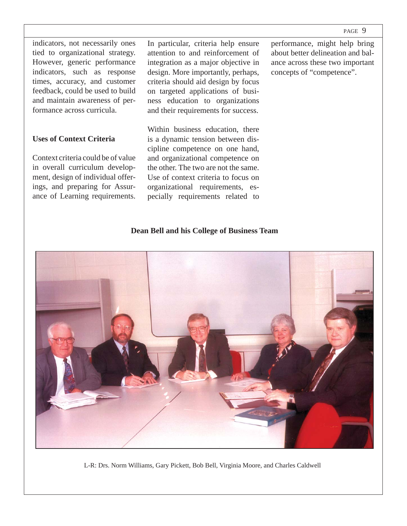performance, might help bring about better delineation and balance across these two important

concepts of "competence".

indicators, not necessarily ones tied to organizational strategy. However, generic performance indicators, such as response times, accuracy, and customer feedback, could be used to build and maintain awareness of performance across curricula.

#### **Uses of Context Criteria**

Context criteria could be of value in overall curriculum development, design of individual offerings, and preparing for Assurance of Learning requirements.

In particular, criteria help ensure attention to and reinforcement of integration as a major objective in design. More importantly, perhaps, criteria should aid design by focus on targeted applications of business education to organizations and their requirements for success.

Within business education, there is a dynamic tension between discipline competence on one hand, and organizational competence on the other. The two are not the same. Use of context criteria to focus on organizational requirements, especially requirements related to

**Dean Bell and his College of Business Team**



L-R: Drs. Norm Williams, Gary Pickett, Bob Bell, Virginia Moore, and Charles Caldwell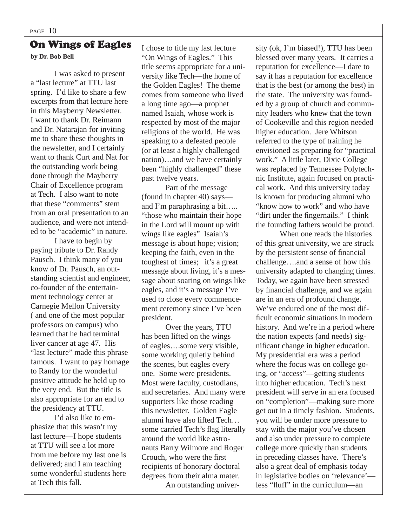# On Wings of Eagles

**by Dr. Bob Bell**

 I was asked to present a "last lecture" at TTU last spring. I'd like to share a few excerpts from that lecture here in this Mayberry Newsletter. I want to thank Dr. Reimann and Dr. Natarajan for inviting me to share these thoughts in the newsletter, and I certainly want to thank Curt and Nat for the outstanding work being done through the Mayberry Chair of Excellence program at Tech. I also want to note that these "comments" stem from an oral presentation to an audience, and were not intended to be "academic" in nature.

 I have to begin by paying tribute to Dr. Randy Pausch. I think many of you know of Dr. Pausch, an outstanding scientist and engineer, co-founder of the entertainment technology center at Carnegie Mellon University ( and one of the most popular professors on campus) who learned that he had terminal liver cancer at age 47. His "last lecture" made this phrase famous. I want to pay homage to Randy for the wonderful positive attitude he held up to the very end. But the title is also appropriate for an end to the presidency at TTU.

 I'd also like to emphasize that this wasn't my last lecture—I hope students at TTU will see a lot more from me before my last one is delivered; and I am teaching some wonderful students here at Tech this fall.

I chose to title my last lecture "On Wings of Eagles." This title seems appropriate for a university like Tech—the home of the Golden Eagles! The theme comes from someone who lived a long time ago—a prophet named Isaiah, whose work is respected by most of the major religions of the world. He was speaking to a defeated people (or at least a highly challenged nation)…and we have certainly been "highly challenged" these past twelve years.

 Part of the message (found in chapter 40) says and I'm paraphrasing a bit….. "those who maintain their hope in the Lord will mount up with wings like eagles" Isaiah's message is about hope; vision; keeping the faith, even in the toughest of times; it's a great message about living, it's a message about soaring on wings like eagles, and it's a message I've used to close every commencement ceremony since I've been president.

 Over the years, TTU has been lifted on the wings of eagles….some very visible, some working quietly behind the scenes, but eagles every one. Some were presidents. Most were faculty, custodians, and secretaries. And many were supporters like those reading this newsletter. Golden Eagle alumni have also lifted Tech… some carried Tech's flag literally around the world like astronauts Barry Wilmore and Roger Crouch, who were the first recipients of honorary doctoral degrees from their alma mater. An outstanding university (ok, I'm biased!), TTU has been blessed over many years. It carries a reputation for excellence—I dare to say it has a reputation for excellence that is the best (or among the best) in the state. The university was founded by a group of church and community leaders who knew that the town of Cookeville and this region needed higher education. Jere Whitson referred to the type of training he envisioned as preparing for "practical work." A little later, Dixie College was replaced by Tennessee Polytechnic Institute, again focused on practical work. And this university today is known for producing alumni who "know how to work" and who have "dirt under the fingernails." I think the founding fathers would be proud.

 When one reads the histories of this great university, we are struck by the persistent sense of financial challenge….and a sense of how this university adapted to changing times. Today, we again have been stressed by financial challenge, and we again are in an era of profound change. We've endured one of the most difficult economic situations in modern history. And we're in a period where the nation expects (and needs) significant change in higher education. My presidential era was a period where the focus was on college going, or "access"—getting students into higher education. Tech's next president will serve in an era focused on "completion"—making sure more get out in a timely fashion. Students, you will be under more pressure to stay with the major you've chosen and also under pressure to complete college more quickly than students in preceding classes have. There's also a great deal of emphasis today in legislative bodies on 'relevance' less "fluff" in the curriculum—an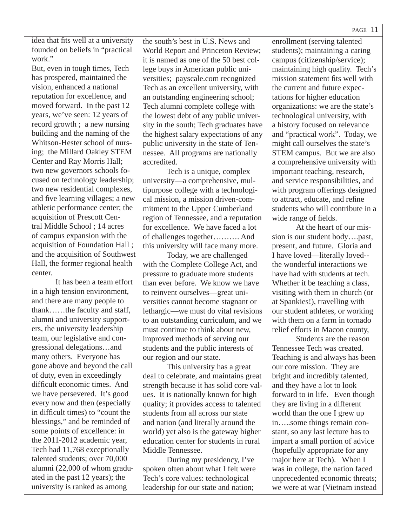idea that fits well at a university founded on beliefs in "practical work."

But, even in tough times, Tech has prospered, maintained the vision, enhanced a national reputation for excellence, and moved forward. In the past 12 years, we've seen: 12 years of record growth ; a new nursing building and the naming of the Whitson-Hester school of nursing; the Millard Oakley STEM Center and Ray Morris Hall; two new governors schools focused on technology leadership; two new residential complexes, and five learning villages; a new athletic performance center; the acquisition of Prescott Central Middle School ; 14 acres of campus expansion with the acquisition of Foundation Hall ; and the acquisition of Southwest Hall, the former regional health center.

 It has been a team effort in a high tension environment, and there are many people to thank……the faculty and staff, alumni and university supporters, the university leadership team, our legislative and congressional delegations…and many others. Everyone has gone above and beyond the call of duty, even in exceedingly difficult economic times. And we have persevered. It's good every now and then (especially in difficult times) to "count the blessings," and be reminded of some points of excellence: in the 2011-2012 academic year, Tech had 11,768 exceptionally talented students; over 70,000 alumni (22,000 of whom graduated in the past 12 years); the university is ranked as among

the south's best in U.S. News and World Report and Princeton Review; it is named as one of the 50 best college buys in American public universities; payscale.com recognized Tech as an excellent university, with an outstanding engineering school; Tech alumni complete college with the lowest debt of any public university in the south; Tech graduates have the highest salary expectations of any public university in the state of Tennessee. All programs are nationally accredited.

 Tech is a unique, complex university—a comprehensive, multipurpose college with a technological mission, a mission driven-commitment to the Upper Cumberland region of Tennessee, and a reputation for excellence. We have faced a lot of challenges together………. And this university will face many more.

 Today, we are challenged with the Complete College Act, and pressure to graduate more students than ever before. We know we have to reinvent ourselves—great universities cannot become stagnant or lethargic—we must do vital revisions to an outstanding curriculum, and we must continue to think about new, improved methods of serving our students and the public interests of our region and our state.

 This university has a great deal to celebrate, and maintains great strength because it has solid core values. It is nationally known for high quality; it provides access to talented students from all across our state and nation (and literally around the world) yet also is the gateway higher education center for students in rural Middle Tennessee.

 During my presidency, I've spoken often about what I felt were Tech's core values: technological leadership for our state and nation;

enrollment (serving talented students); maintaining a caring campus (citizenship/service); maintaining high quality. Tech's mission statement fits well with the current and future expectations for higher education organizations: we are the state's technological university, with a history focused on relevance and "practical work". Today, we might call ourselves the state's STEM campus. But we are also a comprehensive university with important teaching, research, and service responsibilities, and with program offerings designed to attract, educate, and refine students who will contribute in a wide range of fields.

 At the heart of our mission is our student body….past, present, and future. Gloria and I have loved—literally loved- the wonderful interactions we have had with students at tech. Whether it be teaching a class, visiting with them in church (or at Spankies!), travelling with our student athletes, or working with them on a farm in tornado relief efforts in Macon county,

 Students are the reason Tennessee Tech was created. Teaching is and always has been our core mission. They are bright and incredibly talented, and they have a lot to look forward to in life. Even though they are living in a different world than the one I grew up in…..some things remain constant, so any last lecture has to impart a small portion of advice (hopefully appropriate for any major here at Tech). When I was in college, the nation faced unprecedented economic threats; we were at war (Vietnam instead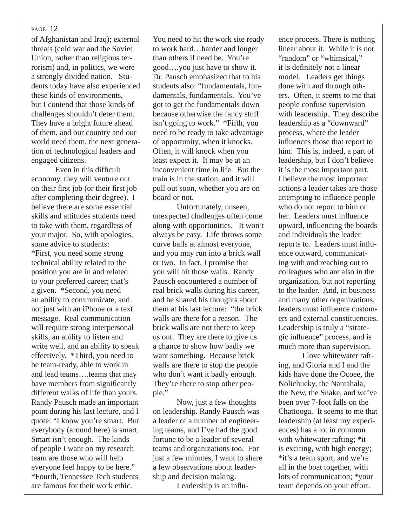of Afghanistan and Iraq); external threats (cold war and the Soviet Union, rather than religious terrorism) and, in politics, we were a strongly divided nation. Students today have also experienced these kinds of environments, but I contend that those kinds of challenges shouldn't deter them. They have a bright future ahead of them, and our country and our world need them, the next generation of technological leaders and engaged citizens.

Even in this difficult economy, they will venture out on their first job (or their first job after completing their degree). I believe there are some essential skills and attitudes students need to take with them, regardless of your major. So, with apologies, some advice to students: \*First, you need some strong technical ability related to the position you are in and related to your preferred career; that's a given. \*Second, you need an ability to communicate, and not just with an iPhone or a text message. Real communication will require strong interpersonal skills, an ability to listen and write well, and an ability to speak effectively. \*Third, you need to be team-ready, able to work in and lead teams….teams that may have members from significantly different walks of life than yours. Randy Pausch made an important point during his last lecture, and I quote: "I know you're smart. But everybody (around here) is smart. Smart isn't enough. The kinds of people I want on my research team are those who will help everyone feel happy to be here." \*Fourth, Tennessee Tech students are famous for their work ethic.

You need to hit the work site ready to work hard…harder and longer than others if need be. You're good….you just have to show it. Dr. Pausch emphasized that to his students also: "fundamentals, fundamentals, fundamentals. You've got to get the fundamentals down because otherwise the fancy stuff isn't going to work." \*Fifth, you need to be ready to take advantage of opportunity, when it knocks. Often, it will knock when you least expect it. It may be at an inconvenient time in life. But the train is in the station, and it will pull out soon, whether you are on board or not.

 Unfortunately, unseen, unexpected challenges often come along with opportunities. It won't always be easy. Life throws some curve balls at almost everyone, and you may run into a brick wall or two. In fact, I promise that you will hit those walls. Randy Pausch encountered a number of real brick walls during his career, and he shared his thoughts about them at his last lecture: "the brick walls are there for a reason. The brick walls are not there to keep us out. They are there to give us a chance to show how badly we want something. Because brick walls are there to stop the people who don't want it badly enough. They're there to stop other people."

 Now, just a few thoughts on leadership. Randy Pausch was a leader of a number of engineering teams, and I've had the good fortune to be a leader of several teams and organizations too. For just a few minutes. I want to share a few observations about leadership and decision making.

Leadership is an influ-

ence process. There is nothing linear about it. While it is not "random" or "whimsical," it is definitely not a linear model. Leaders get things done with and through others. Often, it seems to me that people confuse supervision with leadership. They describe leadership as a "downward" process, where the leader influences those that report to him. This is, indeed, a part of leadership, but I don't believe it is the most important part. I believe the most important actions a leader takes are those attempting to influence people who do not report to him or her. Leaders must influence upward, influencing the boards and individuals the leader reports to. Leaders must influence outward, communicating with and reaching out to colleagues who are also in the organization, but not reporting to the leader. And, in business and many other organizations, leaders must influence customers and external constituencies. Leadership is truly a "strategic influence" process, and is much more than supervision.

 I love whitewater rafting, and Gloria and I and the kids have done the Ocoee, the Nolichucky, the Nantahala, the New, the Snake, and we've been over 7-foot falls on the Chattooga. It seems to me that leadership (at least my experiences) has a lot in common with whitewater rafting: \*it is exciting, with high energy; \*it's a team sport, and we're all in the boat together, with lots of communication; \*your team depends on your effort.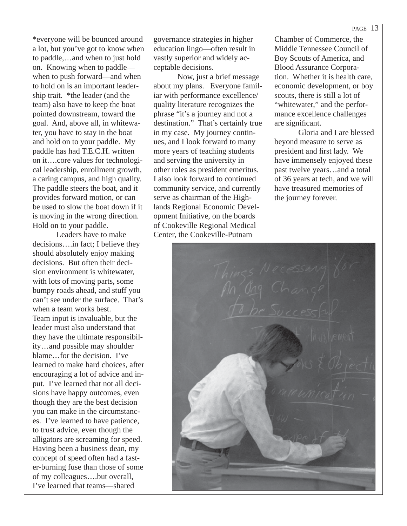\*everyone will be bounced around a lot, but you've got to know when to paddle,…and when to just hold on. Knowing when to paddle when to push forward—and when to hold on is an important leadership trait. \*the leader (and the team) also have to keep the boat pointed downstream, toward the goal. And, above all, in whitewater, you have to stay in the boat and hold on to your paddle. My paddle has had T.E.C.H. written on it….core values for technological leadership, enrollment growth, a caring campus, and high quality. The paddle steers the boat, and it provides forward motion, or can be used to slow the boat down if it is moving in the wrong direction. Hold on to your paddle.

 Leaders have to make decisions….in fact; I believe they should absolutely enjoy making decisions. But often their decision environment is whitewater, with lots of moving parts, some bumpy roads ahead, and stuff you can't see under the surface. That's when a team works best. Team input is invaluable, but the leader must also understand that they have the ultimate responsibility…and possible may shoulder blame…for the decision. I've learned to make hard choices, after encouraging a lot of advice and input. I've learned that not all decisions have happy outcomes, even though they are the best decision you can make in the circumstances. I've learned to have patience, to trust advice, even though the alligators are screaming for speed. Having been a business dean, my concept of speed often had a faster-burning fuse than those of some of my colleagues….but overall, I've learned that teams—shared

governance strategies in higher education lingo—often result in vastly superior and widely acceptable decisions.

 Now, just a brief message about my plans. Everyone familiar with performance excellence/ quality literature recognizes the phrase "it's a journey and not a destination." That's certainly true in my case. My journey continues, and I look forward to many more years of teaching students and serving the university in other roles as president emeritus. I also look forward to continued community service, and currently serve as chairman of the Highlands Regional Economic Development Initiative, on the boards of Cookeville Regional Medical Center, the Cookeville-Putnam

Chamber of Commerce, the Middle Tennessee Council of Boy Scouts of America, and Blood Assurance Corporation. Whether it is health care, economic development, or boy scouts, there is still a lot of "whitewater," and the performance excellence challenges are significant.

 Gloria and I are blessed beyond measure to serve as president and first lady. We have immensely enjoyed these past twelve years…and a total of 36 years at tech, and we will have treasured memories of the journey forever.

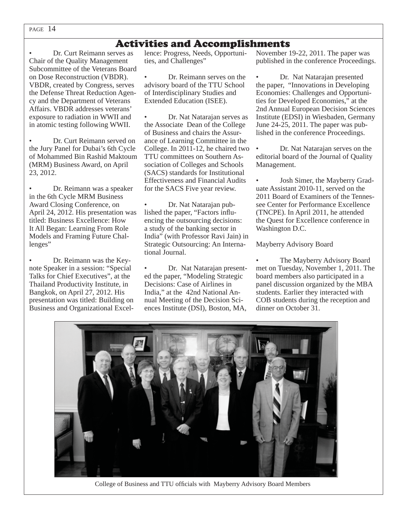## Activities and Accomplishments

• Dr. Curt Reimann serves as Chair of the Quality Management Subcommittee of the Veterans Board on Dose Reconstruction (VBDR). VBDR, created by Congress, serves the Defense Threat Reduction Agency and the Department of Veterans Affairs. VBDR addresses veterans' exposure to radiation in WWII and in atomic testing following WWII.

• Dr. Curt Reimann served on the Jury Panel for Dubai's 6th Cycle of Mohammed Bin Rashid Maktoum (MRM) Business Award, on April 23, 2012.

• Dr. Reimann was a speaker in the 6th Cycle MRM Business Award Closing Conference, on April 24, 2012. His presentation was titled: Business Excellence: How It All Began: Learning From Role Models and Framing Future Challenges"

• Dr. Reimann was the Keynote Speaker in a session: "Special Talks for Chief Executives", at the Thailand Productivity Institute, in Bangkok, on April 27, 2012. His presentation was titled: Building on Business and Organizational Excellence: Progress, Needs, Opportunities, and Challenges"

• Dr. Reimann serves on the advisory board of the TTU School of Interdisciplinary Studies and Extended Education (ISEE).

• Dr. Nat Natarajan serves as the Associate Dean of the College of Business and chairs the Assurance of Learning Committee in the College. In 2011-12, he chaired two TTU committees on Southern Association of Colleges and Schools (SACS) standards for Institutional Effectiveness and Financial Audits for the SACS Five year review.

• Dr. Nat Natarajan published the paper, "Factors influencing the outsourcing decisions: a study of the banking sector in India" (with Professor Ravi Jain) in Strategic Outsourcing: An International Journal.

• Dr. Nat Natarajan presented the paper, "Modeling Strategic Decisions: Case of Airlines in India," at the 42nd National Annual Meeting of the Decision Sciences Institute (DSI), Boston, MA, November 19-22, 2011. The paper was published in the conference Proceedings.

Dr. Nat Natarajan presented the paper, "Innovations in Developing Economies: Challenges and Opportunities for Developed Economies," at the 2nd Annual European Decision Sciences Institute (EDSI) in Wiesbaden, Germany June 24-25, 2011. The paper was published in the conference Proceedings.

• Dr. Nat Natarajan serves on the editorial board of the Journal of Quality Management.

• Josh Simer, the Mayberry Graduate Assistant 2010-11, served on the 2011 Board of Examiners of the Tennessee Center for Performance Excellence (TNCPE). In April 2011, he attended the Quest for Excellence conference in Washington D.C.

Mayberry Advisory Board

The Mayberry Advisory Board met on Tuesday, November 1, 2011. The board members also participated in a panel discussion organized by the MBA students. Earlier they interacted with COB students during the reception and dinner on October 31.



College of Business and TTU officials with Mayberry Advisory Board Members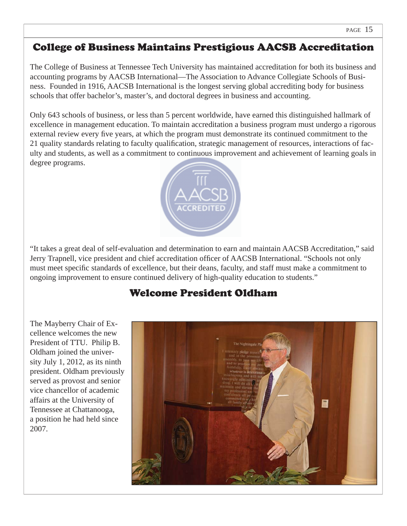## College of Business Maintains Prestigious AACSB Accreditation

The College of Business at Tennessee Tech University has maintained accreditation for both its business and accounting programs by AACSB International—The Association to Advance Collegiate Schools of Business. Founded in 1916, AACSB International is the longest serving global accrediting body for business schools that offer bachelor's, master's, and doctoral degrees in business and accounting.

Only 643 schools of business, or less than 5 percent worldwide, have earned this distinguished hallmark of excellence in management education. To maintain accreditation a business program must undergo a rigorous external review every five years, at which the program must demonstrate its continued commitment to the 21 quality standards relating to faculty qualification, strategic management of resources, interactions of faculty and students, as well as a commitment to continuous improvement and achievement of learning goals in pdegree programs.



"It takes a great deal of self-evaluation and determination to earn and maintain AACSB Accreditation," said Jerry Trapnell, vice president and chief accreditation officer of AACSB International. "Schools not only must meet specific standards of excellence, but their deans, faculty, and staff must make a commitment to ongoing improvement to ensure continued delivery of high-quality education to students."

## Welcome President Oldham

The Mayberry Chair of Excellence welcomes the new President of TTU. Philip B. Oldham joined the university July 1, 2012, as its ninth president. Oldham previously served as provost and senior vice chancellor of academic affairs at the University of Tennessee at Chattanooga, a position he had held since 2007.